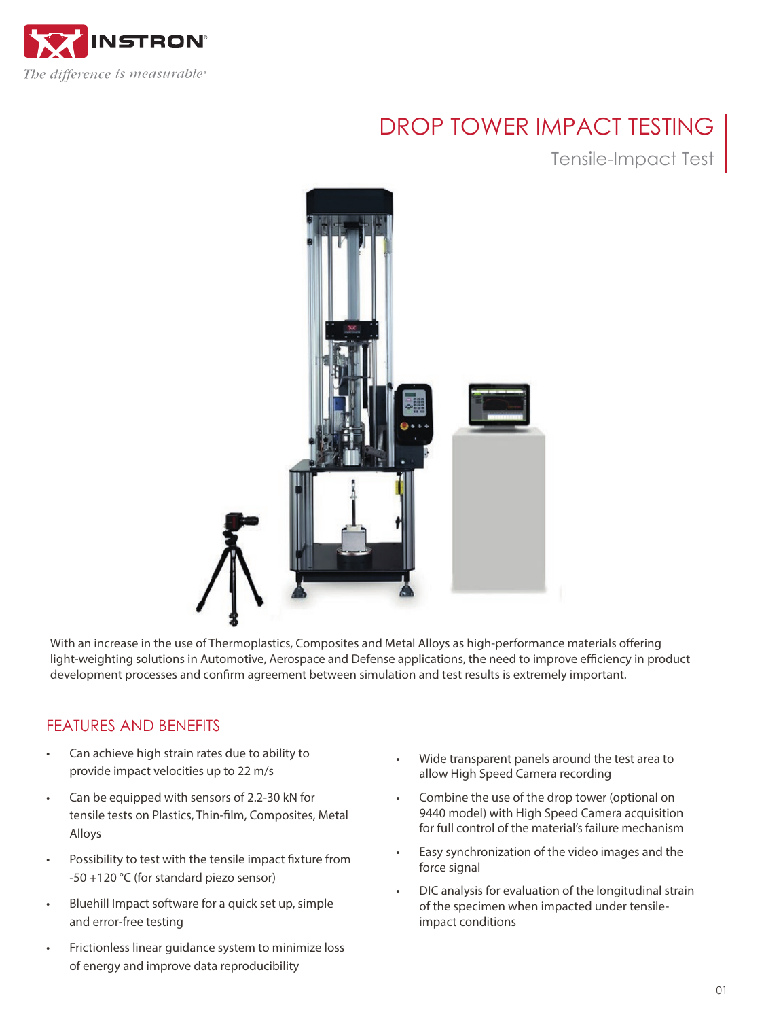

# DROP TOWER IMPACT TESTING

Tensile-Impact Test



With an increase in the use of Thermoplastics, Composites and Metal Alloys as high-performance materials offering light-weighting solutions in Automotive, Aerospace and Defense applications, the need to improve efficiency in product development processes and confirm agreement between simulation and test results is extremely important.

## FEATURES AND BENEFITS

- Can achieve high strain rates due to ability to provide impact velocities up to 22 m/s
- Can be equipped with sensors of 2.2-30 kN for tensile tests on Plastics, Thin-film, Composites, Metal Alloys
- Possibility to test with the tensile impact fixture from -50 +120 °C (for standard piezo sensor)
- Bluehill Impact software for a quick set up, simple and error-free testing
- Frictionless linear guidance system to minimize loss of energy and improve data reproducibility
- Wide transparent panels around the test area to allow High Speed Camera recording
- Combine the use of the drop tower (optional on 9440 model) with High Speed Camera acquisition for full control of the material's failure mechanism
- Easy synchronization of the video images and the force signal
- DIC analysis for evaluation of the longitudinal strain of the specimen when impacted under tensileimpact conditions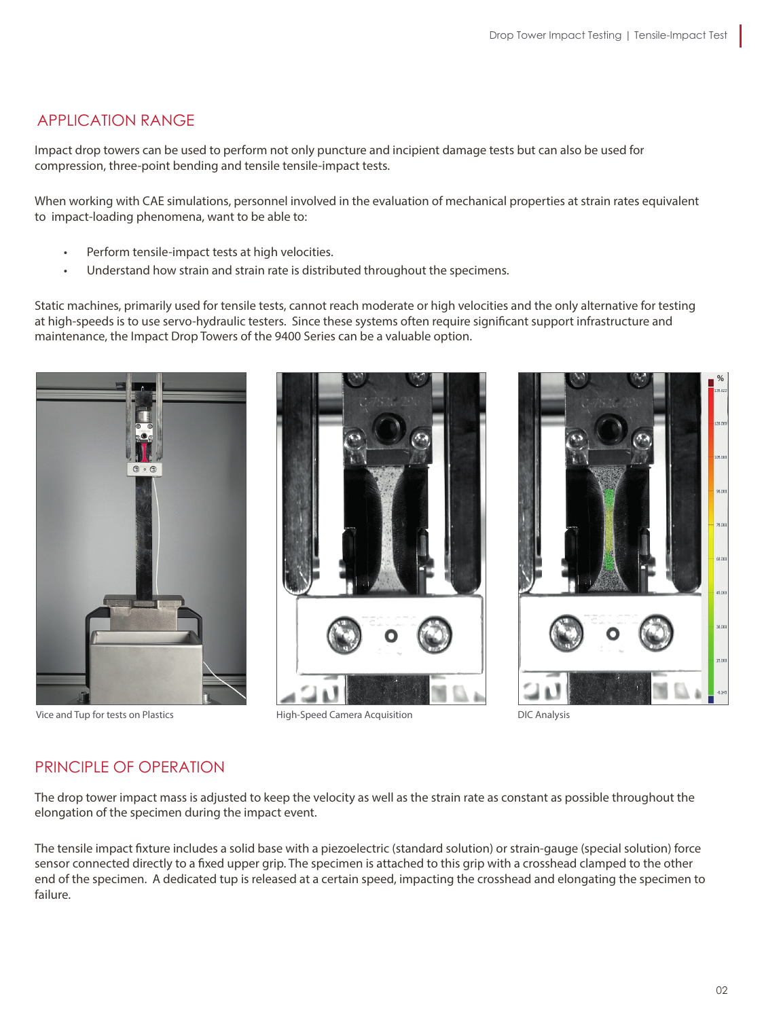## APPLICATION RANGE

Impact drop towers can be used to perform not only puncture and incipient damage tests but can also be used for compression, three-point bending and tensile tensile-impact tests.

When working with CAE simulations, personnel involved in the evaluation of mechanical properties at strain rates equivalent to impact-loading phenomena, want to be able to:

- Perform tensile-impact tests at high velocities.
- Understand how strain and strain rate is distributed throughout the specimens.

Static machines, primarily used for tensile tests, cannot reach moderate or high velocities and the only alternative for testing at high-speeds is to use servo-hydraulic testers. Since these systems often require significant support infrastructure and maintenance, the Impact Drop Towers of the 9400 Series can be a valuable option.





Vice and Tup for tests on Plastics Theorem Communication High-Speed Camera Acquisition DIC Analysis



## PRINCIPLE OF OPERATION

The drop tower impact mass is adjusted to keep the velocity as well as the strain rate as constant as possible throughout the elongation of the specimen during the impact event.

The tensile impact fixture includes a solid base with a piezoelectric (standard solution) or strain-gauge (special solution) force sensor connected directly to a fixed upper grip. The specimen is attached to this grip with a crosshead clamped to the other end of the specimen. A dedicated tup is released at a certain speed, impacting the crosshead and elongating the specimen to failure.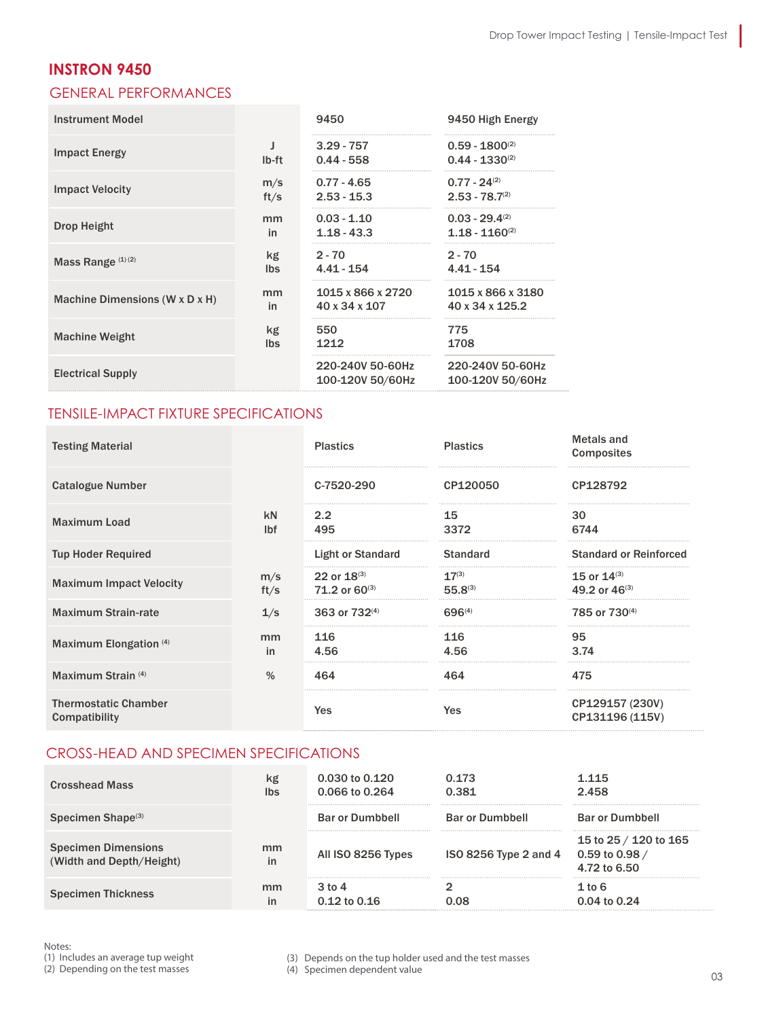I

### **INSTRON 9450**

### GENERAL PERFORMANCES

| <b>Instrument Model</b>        |            | 9450                                 | 9450 High Energy                           |
|--------------------------------|------------|--------------------------------------|--------------------------------------------|
| <b>Impact Energy</b>           | lb-ft      | $3.29 - 757$<br>$0.44 - 558$         | $0.59 - 1800^{(2)}$<br>$0.44 - 1330^{(2)}$ |
| <b>Impact Velocity</b>         | m/s        | $0.77 - 4.65$                        | $0.77 - 24^{(2)}$                          |
|                                | ft/s       | $2.53 - 15.3$                        | $2.53 - 78.7^{(2)}$                        |
| <b>Drop Height</b>             | mm         | $0.03 - 1.10$                        | $0.03 - 29.4^{(2)}$                        |
|                                | in         | $1.18 - 43.3$                        | $1.18 - 1160^{(2)}$                        |
| Mass Range $(1)(2)$            | kg         | $2 - 70$                             | $2 - 70$                                   |
|                                | <b>Ibs</b> | $4.41 - 154$                         | $4.41 - 154$                               |
| Machine Dimensions (W x D x H) | mm         | 1015 x 866 x 2720                    | 1015 x 866 x 3180                          |
|                                | in         | 40 x 34 x 107                        | 40 x 34 x 125.2                            |
| <b>Machine Weight</b>          | kg         | 550                                  | 775                                        |
|                                | <b>Ibs</b> | 1212                                 | 1708                                       |
| <b>Electrical Supply</b>       |            | 220-240V 50-60Hz<br>100-120V 50/60Hz | 220-240V 50-60Hz<br>100-120V 50/60Hz       |

#### TENSILE-IMPACT FIXTURE SPECIFICATIONS

| <b>Testing Material</b>                      |                  | <b>Plastics</b>                        | <b>Plastics</b>            | <b>Metals and</b><br><b>Composites</b> |
|----------------------------------------------|------------------|----------------------------------------|----------------------------|----------------------------------------|
| Catalogue Number                             |                  | C-7520-290                             | CP120050                   | CP128792                               |
| <b>Maximum Load</b>                          | kN<br><b>Ibf</b> | 2.2<br>495                             | 15<br>3372                 | 30<br>6744                             |
| <b>Tup Hoder Required</b>                    |                  | <b>Light or Standard</b>               | <b>Standard</b>            | <b>Standard or Reinforced</b>          |
| <b>Maximum Impact Velocity</b>               | m/s<br>ft/s      | 22 or $18^{(3)}$<br>71.2 or $60^{(3)}$ | $17^{(3)}$<br>$55.8^{(3)}$ | 15 or $14^{(3)}$<br>49.2 or $46^{(3)}$ |
| <b>Maximum Strain-rate</b>                   | 1/s              | 363 or 732 <sup>(4)</sup>              | 696(4)                     | 785 or 730 <sup>(4)</sup>              |
| Maximum Elongation (4)                       | mm<br>in         | 116<br>4.56                            | 116<br>4.56                | 95<br>3.74<br>                         |
| Maximum Strain (4)                           | $\%$             | 464                                    | 464                        | 475                                    |
| <b>Thermostatic Chamber</b><br>Compatibility |                  | Yes                                    | Yes                        | CP129157 (230V)<br>CP131196 (115V)     |

#### CROSS-HEAD AND SPECIMEN SPECIFICATIONS

| <b>Crosshead Mass</b>                                  | kg<br><b>Ibs</b> | $0.030$ to $0.120$<br>0.066 to 0.264 | 0.173<br>0.381         | 1 1 1 5<br>2.458                                               |
|--------------------------------------------------------|------------------|--------------------------------------|------------------------|----------------------------------------------------------------|
| Specimen Shape <sup>(3)</sup>                          |                  | <b>Bar or Dumbbell</b>               | <b>Bar or Dumbbell</b> | <b>Bar or Dumbbell</b>                                         |
| <b>Specimen Dimensions</b><br>(Width and Depth/Height) | mm<br>in         | All ISO 8256 Types                   | ISO 8256 Type 2 and 4  | 15 to 25 / 120 to 165<br>0.59 to 0.98 $\prime$<br>4.72 to 6.50 |
| <b>Specimen Thickness</b>                              | mm<br>in         | $3$ to $4$<br>$0.12$ to $0.16$       | אח ר                   | $1$ to $6$<br>0.04 to 0.24                                     |

Notes:

(1) Includes an average tup weight

(2) Depending on the test masses

(3) Depends on the tup holder used and the test masses

(4) Specimen dependent value